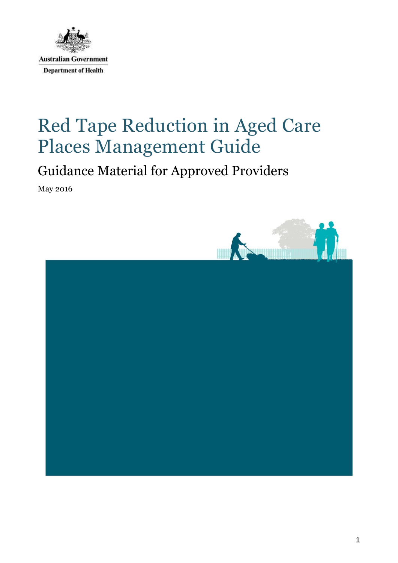

# Red Tape Reduction in Aged Care Places Management Guide

# Guidance Material for Approved Providers

May 2016

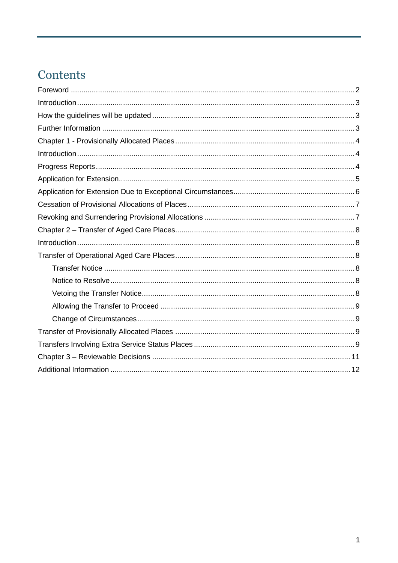# Contents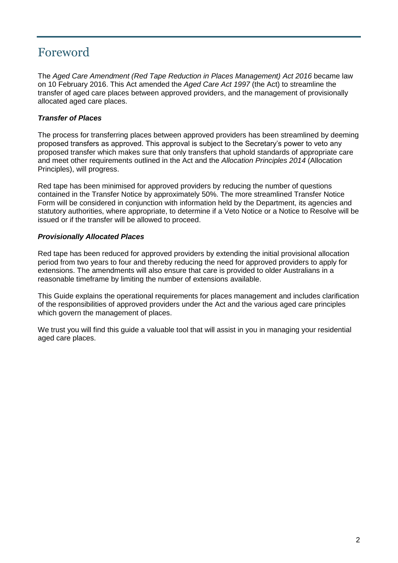### <span id="page-2-0"></span>Foreword

The *Aged Care Amendment (Red Tape Reduction in Places Management) Act 2016* became law on 10 February 2016. This Act amended the *Aged Care Act 1997* (the Act) to streamline the transfer of aged care places between approved providers, and the management of provisionally allocated aged care places.

#### *Transfer of Places*

The process for transferring places between approved providers has been streamlined by deeming proposed transfers as approved. This approval is subject to the Secretary's power to veto any proposed transfer which makes sure that only transfers that uphold standards of appropriate care and meet other requirements outlined in the Act and the *Allocation Principles 2014* (Allocation Principles), will progress.

Red tape has been minimised for approved providers by reducing the number of questions contained in the Transfer Notice by approximately 50%. The more streamlined Transfer Notice Form will be considered in conjunction with information held by the Department, its agencies and statutory authorities, where appropriate, to determine if a Veto Notice or a Notice to Resolve will be issued or if the transfer will be allowed to proceed.

#### *Provisionally Allocated Places*

Red tape has been reduced for approved providers by extending the initial provisional allocation period from two years to four and thereby reducing the need for approved providers to apply for extensions. The amendments will also ensure that care is provided to older Australians in a reasonable timeframe by limiting the number of extensions available.

This Guide explains the operational requirements for places management and includes clarification of the responsibilities of approved providers under the Act and the various aged care principles which govern the management of places.

We trust you will find this guide a valuable tool that will assist in you in managing your residential aged care places.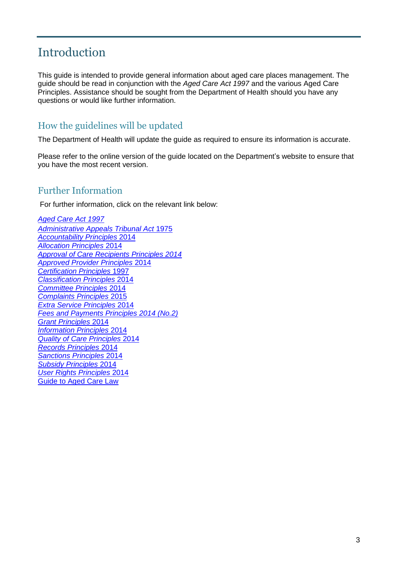### <span id="page-3-0"></span>Introduction

This guide is intended to provide general information about aged care places management. The guide should be read in conjunction with the *Aged Care Act 1997* and the various Aged Care Principles. Assistance should be sought from the Department of Health should you have any questions or would like further information.

#### <span id="page-3-1"></span>How the guidelines will be updated

The Department of Health will update the guide as required to ensure its information is accurate.

Please refer to the online version of the guide located on the Department's website to ensure that you have the most recent version.

#### <span id="page-3-2"></span>Further Information

For further information, click on the relevant link below:

*[Aged Care Act 1997](https://www.legislation.gov.au/Latest/C2016C00138) [Administrative Appeals Tribunal Act](https://www.legislation.gov.au/Latest/C2015C00546)* 1975 *[Accountability Principles](https://www.legislation.gov.au/Latest/F2016C00440)* 2014 *[Allocation Principles](https://www.legislation.gov.au/Latest/F2015C00622)* 2014 *[Approval of Care Recipients Principles 2014](https://www.legislation.gov.au/Latest/F2014L00804) [Approved Provider Principles](https://www.legislation.gov.au/Latest/F2014L00698)* 2014 *[Certification Principles](https://www.legislation.gov.au/Latest/F2012C00749)* 1997 *[Classification Principles](https://www.legislation.gov.au/Latest/F2014L00805)* 2014 *[Committee Principles](https://www.legislation.gov.au/Latest/F2014L00799)* 2014 *[Complaints Principles](https://www.legislation.gov.au/Latest/F2015L02125)* 2015 *[Extra Service Principles](https://www.legislation.gov.au/Latest/F2016C00050)* 2014 *[Fees and Payments Principles 2014 \(No.2\)](https://www.legislation.gov.au/Latest/F2015C00623) [Grant Principles](https://www.legislation.gov.au/Latest/F2014L00697)* 2014 *[Information Principles](https://www.legislation.gov.au/Latest/F2016C00051)* 2014 *[Quality of Care Principles](https://www.legislation.gov.au/Latest/F2015C00075)* 2014 *[Records Principles](https://www.legislation.gov.au/Latest/F2014L00810)* 2014 *[Sanctions Principles](https://www.legislation.gov.au/Latest/F2014L00803)* 2014 *[Subsidy Principles](https://www.legislation.gov.au/Latest/F2015C00949)* 2014 *[User Rights Principles](https://www.legislation.gov.au/Latest/F2016C00049)* 2014 [Guide to Aged Care Law](http://guides.dss.gov.au/guide-aged-care-law)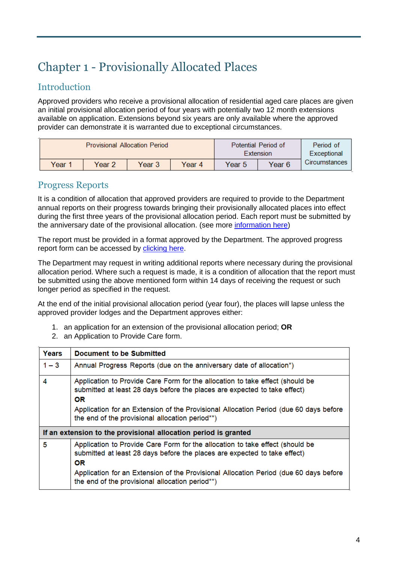# <span id="page-4-0"></span>Chapter 1 - Provisionally Allocated Places

#### <span id="page-4-1"></span>Introduction

Approved providers who receive a provisional allocation of residential aged care places are given an initial provisional allocation period of four years with potentially two 12 month extensions available on application. Extensions beyond six years are only available where the approved provider can demonstrate it is warranted due to exceptional circumstances.

| <b>Provisional Allocation Period</b> |        |        |        | <b>Potential Period of</b><br>Extension | Period of<br>Exceptional |               |
|--------------------------------------|--------|--------|--------|-----------------------------------------|--------------------------|---------------|
| Year 1                               | Year 2 | Year 3 | Year 4 | Year 5                                  | Year 6                   | Circumstances |

#### <span id="page-4-2"></span>Progress Reports

It is a condition of allocation that approved providers are required to provide to the Department annual reports on their progress towards bringing their provisionally allocated places into effect during the first three years of the provisional allocation period. Each report must be submitted by the anniversary date of the provisional allocation. (see more [information here\)](https://www.legislation.gov.au/Latest/F2016L00355)

The report must be provided in a format approved by the Department. The approved progress report form can be accessed by [clicking here.](https://www.dss.gov.au/our-responsibilities/ageing-and-aged-care/for-providers/forms/management-of-places-forms-for-approved-providers)

The Department may request in writing additional reports where necessary during the provisional allocation period. Where such a request is made, it is a condition of allocation that the report must be submitted using the above mentioned form within 14 days of receiving the request or such longer period as specified in the request.

At the end of the initial provisional allocation period (year four), the places will lapse unless the approved provider lodges and the Department approves either:

- 1. an application for an extension of the provisional allocation period; **OR**
- 2. an Application to Provide Care form.

| Years                                                           | Document to be Submitted                                                                                                                                                                                                                                                                                            |  |
|-----------------------------------------------------------------|---------------------------------------------------------------------------------------------------------------------------------------------------------------------------------------------------------------------------------------------------------------------------------------------------------------------|--|
| $1 - 3$                                                         | Annual Progress Reports (due on the anniversary date of allocation*)                                                                                                                                                                                                                                                |  |
| 4                                                               | Application to Provide Care Form for the allocation to take effect (should be<br>submitted at least 28 days before the places are expected to take effect)<br><b>OR</b><br>Application for an Extension of the Provisional Allocation Period (due 60 days before<br>the end of the provisional allocation period**) |  |
| If an extension to the provisional allocation period is granted |                                                                                                                                                                                                                                                                                                                     |  |
| 5                                                               | Application to Provide Care Form for the allocation to take effect (should be<br>submitted at least 28 days before the places are expected to take effect)<br><b>OR</b><br>Application for an Extension of the Provisional Allocation Period (due 60 days before<br>the end of the provisional allocation period**) |  |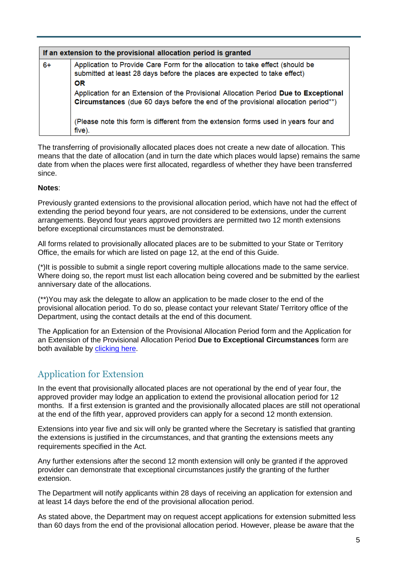| If an extension to the provisional allocation period is granted |                                                                                                                                                                                                                                                                                                                                                                                                                                                       |  |  |  |
|-----------------------------------------------------------------|-------------------------------------------------------------------------------------------------------------------------------------------------------------------------------------------------------------------------------------------------------------------------------------------------------------------------------------------------------------------------------------------------------------------------------------------------------|--|--|--|
| $6+$                                                            | Application to Provide Care Form for the allocation to take effect (should be<br>submitted at least 28 days before the places are expected to take effect)<br><b>OR</b><br>Application for an Extension of the Provisional Allocation Period Due to Exceptional<br>Circumstances (due 60 days before the end of the provisional allocation period**)<br>(Please note this form is different from the extension forms used in years four and<br>five). |  |  |  |

The transferring of provisionally allocated places does not create a new date of allocation. This means that the date of allocation (and in turn the date which places would lapse) remains the same date from when the places were first allocated, regardless of whether they have been transferred since.

#### **Notes**:

Previously granted extensions to the provisional allocation period, which have not had the effect of extending the period beyond four years, are not considered to be extensions, under the current arrangements. Beyond four years approved providers are permitted two 12 month extensions before exceptional circumstances must be demonstrated.

All forms related to provisionally allocated places are to be submitted to your State or Territory Office, the emails for which are listed on page 12, at the end of this Guide.

(\*)It is possible to submit a single report covering multiple allocations made to the same service. Where doing so, the report must list each allocation being covered and be submitted by the earliest anniversary date of the allocations.

(\*\*)You may ask the delegate to allow an application to be made closer to the end of the provisional allocation period. To do so, please contact your relevant State/ Territory office of the Department, using the contact details at the end of this document.

The Application for an Extension of the Provisional Allocation Period form and the Application for an Extension of the Provisional Allocation Period **Due to Exceptional Circumstances** form are both available by [clicking here.](https://www.dss.gov.au/our-responsibilities/ageing-and-aged-care/for-providers/forms/management-of-places-forms-for-approved-providers)

#### <span id="page-5-0"></span>Application for Extension

In the event that provisionally allocated places are not operational by the end of year four, the approved provider may lodge an application to extend the provisional allocation period for 12 months. If a first extension is granted and the provisionally allocated places are still not operational at the end of the fifth year, approved providers can apply for a second 12 month extension.

Extensions into year five and six will only be granted where the Secretary is satisfied that granting the extensions is justified in the circumstances, and that granting the extensions meets any requirements specified in the Act.

Any further extensions after the second 12 month extension will only be granted if the approved provider can demonstrate that exceptional circumstances justify the granting of the further extension.

The Department will notify applicants within 28 days of receiving an application for extension and at least 14 days before the end of the provisional allocation period.

As stated above, the Department may on request accept applications for extension submitted less than 60 days from the end of the provisional allocation period. However, please be aware that the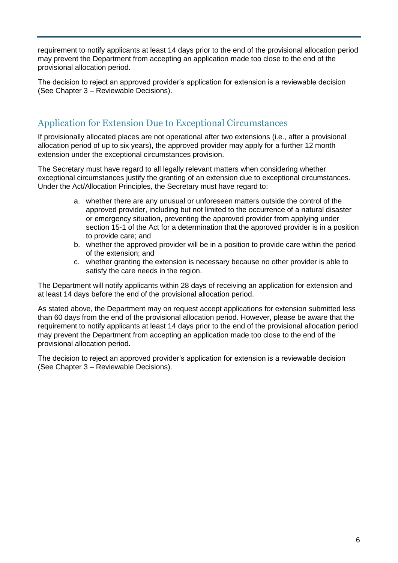requirement to notify applicants at least 14 days prior to the end of the provisional allocation period may prevent the Department from accepting an application made too close to the end of the provisional allocation period.

The decision to reject an approved provider's application for extension is a reviewable decision (See Chapter 3 – Reviewable Decisions).

#### <span id="page-6-0"></span>Application for Extension Due to Exceptional Circumstances

If provisionally allocated places are not operational after two extensions (i.e., after a provisional allocation period of up to six years), the approved provider may apply for a further 12 month extension under the exceptional circumstances provision.

The Secretary must have regard to all legally relevant matters when considering whether exceptional circumstances justify the granting of an extension due to exceptional circumstances. Under the Act/Allocation Principles, the Secretary must have regard to:

- a. whether there are any unusual or unforeseen matters outside the control of the approved provider, including but not limited to the occurrence of a natural disaster or emergency situation, preventing the approved provider from applying under section 15-1 of the Act for a determination that the approved provider is in a position to provide care; and
- b. whether the approved provider will be in a position to provide care within the period of the extension; and
- c. whether granting the extension is necessary because no other provider is able to satisfy the care needs in the region.

The Department will notify applicants within 28 days of receiving an application for extension and at least 14 days before the end of the provisional allocation period.

As stated above, the Department may on request accept applications for extension submitted less than 60 days from the end of the provisional allocation period. However, please be aware that the requirement to notify applicants at least 14 days prior to the end of the provisional allocation period may prevent the Department from accepting an application made too close to the end of the provisional allocation period.

The decision to reject an approved provider's application for extension is a reviewable decision (See Chapter 3 – Reviewable Decisions).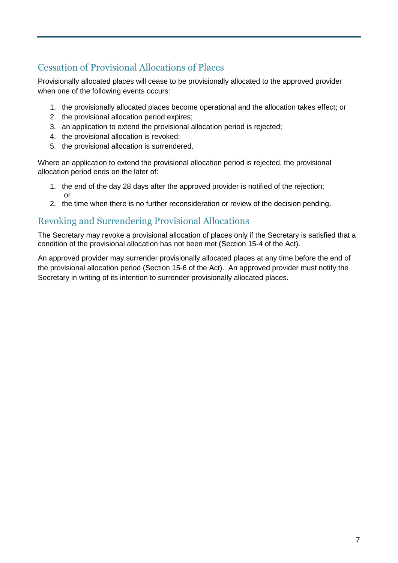### <span id="page-7-0"></span>Cessation of Provisional Allocations of Places

Provisionally allocated places will cease to be provisionally allocated to the approved provider when one of the following events occurs:

- 1. the provisionally allocated places become operational and the allocation takes effect; or
- 2. the provisional allocation period expires;
- 3. an application to extend the provisional allocation period is rejected;
- 4. the provisional allocation is revoked;
- 5. the provisional allocation is surrendered.

Where an application to extend the provisional allocation period is rejected, the provisional allocation period ends on the later of:

- 1. the end of the day 28 days after the approved provider is notified of the rejection; or
- 2. the time when there is no further reconsideration or review of the decision pending.

#### <span id="page-7-1"></span>Revoking and Surrendering Provisional Allocations

The Secretary may revoke a provisional allocation of places only if the Secretary is satisfied that a condition of the provisional allocation has not been met (Section 15-4 of the Act).

An approved provider may surrender provisionally allocated places at any time before the end of the provisional allocation period (Section 15-6 of the Act). An approved provider must notify the Secretary in writing of its intention to surrender provisionally allocated places.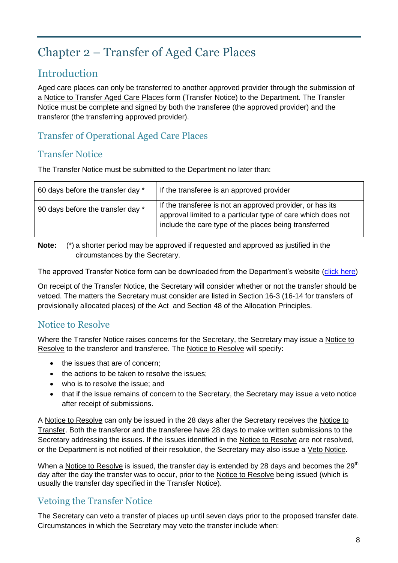## <span id="page-8-0"></span>Chapter 2 – Transfer of Aged Care Places

### <span id="page-8-1"></span>Introduction

Aged care places can only be transferred to another approved provider through the submission of a Notice to Transfer Aged Care Places form (Transfer Notice) to the Department. The Transfer Notice must be complete and signed by both the transferee (the approved provider) and the transferor (the transferring approved provider).

#### <span id="page-8-2"></span>Transfer of Operational Aged Care Places

#### <span id="page-8-3"></span>Transfer Notice

The Transfer Notice must be submitted to the Department no later than:

| 60 days before the transfer day * | If the transferee is an approved provider                                                                                                                                          |
|-----------------------------------|------------------------------------------------------------------------------------------------------------------------------------------------------------------------------------|
| 90 days before the transfer day * | If the transferee is not an approved provider, or has its<br>approval limited to a particular type of care which does not<br>include the care type of the places being transferred |

**Note:** (\*) a shorter period may be approved if requested and approved as justified in the circumstances by the Secretary.

The approved Transfer Notice form can be downloaded from the Department's website [\(click here\)](https://www.dss.gov.au/our-responsibilities/ageing-and-aged-care/for-providers/forms/management-of-places-forms-for-approved-providers)

On receipt of the Transfer Notice, the Secretary will consider whether or not the transfer should be vetoed. The matters the Secretary must consider are listed in Section 16-3 (16-14 for transfers of provisionally allocated places) of the Act and Section 48 of the Allocation Principles.

#### <span id="page-8-4"></span>Notice to Resolve

Where the Transfer Notice raises concerns for the Secretary, the Secretary may issue a Notice to Resolve to the transferor and transferee. The Notice to Resolve will specify:

- the issues that are of concern:
- the actions to be taken to resolve the issues;
- who is to resolve the issue; and
- that if the issue remains of concern to the Secretary, the Secretary may issue a veto notice after receipt of submissions.

A Notice to Resolve can only be issued in the 28 days after the Secretary receives the Notice to Transfer. Both the transferor and the transferee have 28 days to make written submissions to the Secretary addressing the issues. If the issues identified in the Notice to Resolve are not resolved, or the Department is not notified of their resolution, the Secretary may also issue a Veto Notice.

When a Notice to Resolve is issued, the transfer day is extended by 28 days and becomes the  $29<sup>th</sup>$ day after the day the transfer was to occur, prior to the Notice to Resolve being issued (which is usually the transfer day specified in the Transfer Notice).

#### <span id="page-8-5"></span>Vetoing the Transfer Notice

The Secretary can veto a transfer of places up until seven days prior to the proposed transfer date. Circumstances in which the Secretary may veto the transfer include when: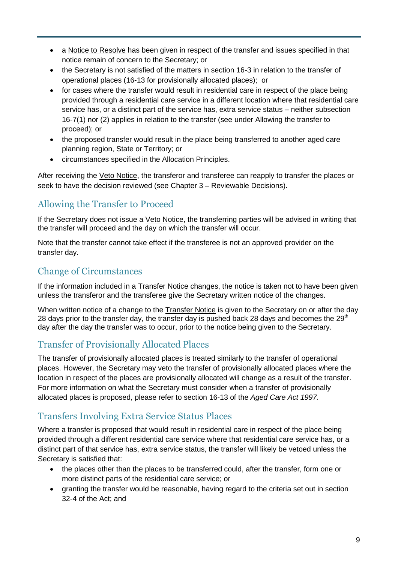- a Notice to Resolve has been given in respect of the transfer and issues specified in that notice remain of concern to the Secretary; or
- the Secretary is not satisfied of the matters in section 16-3 in relation to the transfer of operational places (16-13 for provisionally allocated places); or
- for cases where the transfer would result in residential care in respect of the place being provided through a residential care service in a different location where that residential care service has, or a distinct part of the service has, extra service status – neither subsection 16-7(1) nor (2) applies in relation to the transfer (see under Allowing the transfer to proceed); or
- the proposed transfer would result in the place being transferred to another aged care planning region, State or Territory; or
- circumstances specified in the Allocation Principles.

After receiving the Veto Notice, the transferor and transferee can reapply to transfer the places or seek to have the decision reviewed (see Chapter 3 – Reviewable Decisions).

### <span id="page-9-0"></span>Allowing the Transfer to Proceed

If the Secretary does not issue a Veto Notice, the transferring parties will be advised in writing that the transfer will proceed and the day on which the transfer will occur.

Note that the transfer cannot take effect if the transferee is not an approved provider on the transfer day.

#### <span id="page-9-1"></span>Change of Circumstances

If the information included in a Transfer Notice changes, the notice is taken not to have been given unless the transferor and the transferee give the Secretary written notice of the changes.

When written notice of a change to the Transfer Notice is given to the Secretary on or after the dav 28 days prior to the transfer day, the transfer day is pushed back 28 days and becomes the  $29<sup>th</sup>$ day after the day the transfer was to occur, prior to the notice being given to the Secretary.

### <span id="page-9-2"></span>Transfer of Provisionally Allocated Places

The transfer of provisionally allocated places is treated similarly to the transfer of operational places. However, the Secretary may veto the transfer of provisionally allocated places where the location in respect of the places are provisionally allocated will change as a result of the transfer. For more information on what the Secretary must consider when a transfer of provisionally allocated places is proposed, please refer to section 16-13 of the *Aged Care Act 1997.*

#### <span id="page-9-3"></span>Transfers Involving Extra Service Status Places

Where a transfer is proposed that would result in residential care in respect of the place being provided through a different residential care service where that residential care service has, or a distinct part of that service has, extra service status, the transfer will likely be vetoed unless the Secretary is satisfied that:

- the places other than the places to be transferred could, after the transfer, form one or more distinct parts of the residential care service; or
- granting the transfer would be reasonable, having regard to the criteria set out in section 32-4 of the Act; and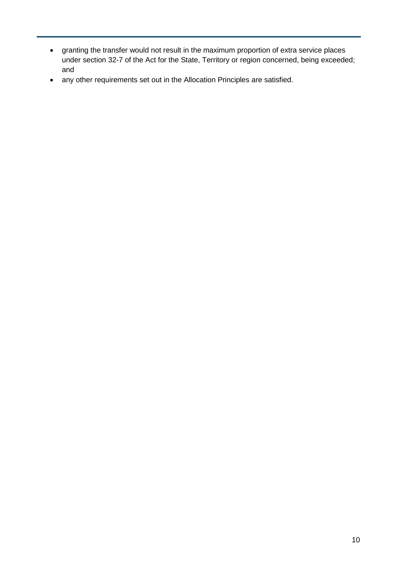- granting the transfer would not result in the maximum proportion of extra service places under section 32-7 of the Act for the State, Territory or region concerned, being exceeded; and
- any other requirements set out in the Allocation Principles are satisfied.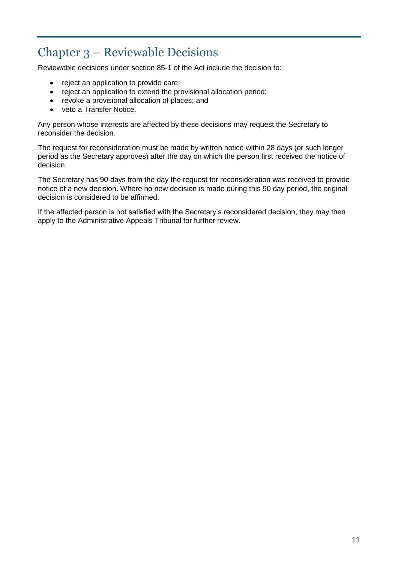## <span id="page-11-0"></span>Chapter 3 – Reviewable Decisions

Reviewable decisions under section 85-1 of the Act include the decision to:

- reject an application to provide care;
- reject an application to extend the provisional allocation period;
- revoke a provisional allocation of places; and
- veto a Transfer Notice.

Any person whose interests are affected by these decisions may request the Secretary to reconsider the decision.

The request for reconsideration must be made by written notice within 28 days (or such longer period as the Secretary approves) after the day on which the person first received the notice of decision.

The Secretary has 90 days from the day the request for reconsideration was received to provide notice of a new decision. Where no new decision is made during this 90 day period, the original decision is considered to be affirmed.

If the affected person is not satisfied with the Secretary's reconsidered decision, they may then apply to the Administrative Appeals Tribunal for further review.